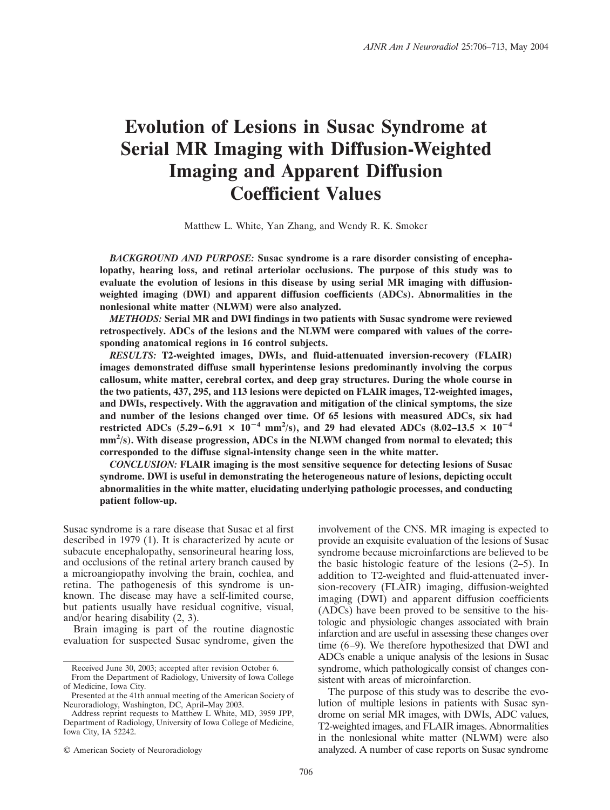# **Evolution of Lesions in Susac Syndrome at Serial MR Imaging with Diffusion-Weighted Imaging and Apparent Diffusion Coefficient Values**

Matthew L. White, Yan Zhang, and Wendy R. K. Smoker

*BACKGROUND AND PURPOSE:* **Susac syndrome is a rare disorder consisting of encephalopathy, hearing loss, and retinal arteriolar occlusions. The purpose of this study was to evaluate the evolution of lesions in this disease by using serial MR imaging with diffusionweighted imaging (DWI) and apparent diffusion coefficients (ADCs). Abnormalities in the nonlesional white matter (NLWM) were also analyzed.**

*METHODS:* **Serial MR and DWI findings in two patients with Susac syndrome were reviewed retrospectively. ADCs of the lesions and the NLWM were compared with values of the corresponding anatomical regions in 16 control subjects.**

*RESULTS:* **T2-weighted images, DWIs, and fluid-attenuated inversion-recovery (FLAIR) images demonstrated diffuse small hyperintense lesions predominantly involving the corpus callosum, white matter, cerebral cortex, and deep gray structures. During the whole course in the two patients, 437, 295, and 113 lesions were depicted on FLAIR images, T2-weighted images, and DWIs, respectively. With the aggravation and mitigation of the clinical symptoms, the size and number of the lesions changed over time. Of 65 lesions with measured ADCs, six had restricted ADCs** (5.29–6.91  $\times$   $10^{-4}$  mm<sup>2</sup>/s), and 29 had elevated ADCs (8.02–13.5  $\times$  10<sup>-4</sup> **mm2 /s). With disease progression, ADCs in the NLWM changed from normal to elevated; this corresponded to the diffuse signal-intensity change seen in the white matter.**

*CONCLUSION:* **FLAIR imaging is the most sensitive sequence for detecting lesions of Susac syndrome. DWI is useful in demonstrating the heterogeneous nature of lesions, depicting occult abnormalities in the white matter, elucidating underlying pathologic processes, and conducting patient follow-up.**

Susac syndrome is a rare disease that Susac et al first described in 1979 (1). It is characterized by acute or subacute encephalopathy, sensorineural hearing loss, and occlusions of the retinal artery branch caused by a microangiopathy involving the brain, cochlea, and retina. The pathogenesis of this syndrome is unknown. The disease may have a self-limited course, but patients usually have residual cognitive, visual, and/or hearing disability (2, 3).

Brain imaging is part of the routine diagnostic evaluation for suspected Susac syndrome, given the

© American Society of Neuroradiology

involvement of the CNS. MR imaging is expected to provide an exquisite evaluation of the lesions of Susac syndrome because microinfarctions are believed to be the basic histologic feature of the lesions (2–5). In addition to T2-weighted and fluid-attenuated inversion-recovery (FLAIR) imaging, diffusion-weighted imaging (DWI) and apparent diffusion coefficients (ADCs) have been proved to be sensitive to the histologic and physiologic changes associated with brain infarction and are useful in assessing these changes over time (6–9). We therefore hypothesized that DWI and ADCs enable a unique analysis of the lesions in Susac syndrome, which pathologically consist of changes consistent with areas of microinfarction.

The purpose of this study was to describe the evolution of multiple lesions in patients with Susac syndrome on serial MR images, with DWIs, ADC values, T2-weighted images, and FLAIR images. Abnormalities in the nonlesional white matter (NLWM) were also analyzed. A number of case reports on Susac syndrome

Received June 30, 2003; accepted after revision October 6.

From the Department of Radiology, University of Iowa College of Medicine, Iowa City.

Presented at the 41th annual meeting of the American Society of Neuroradiology, Washington, DC, April–May 2003.

Address reprint requests to Matthew L White, MD, 3959 JPP, Department of Radiology, University of Iowa College of Medicine, Iowa City, IA 52242.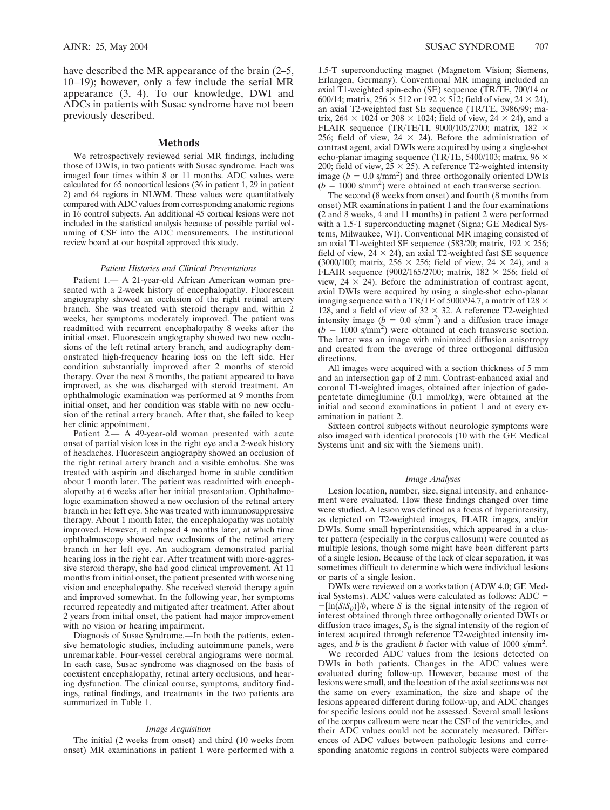have described the MR appearance of the brain  $(2-5, 1)$ 10–19); however, only a few include the serial MR appearance (3, 4). To our knowledge, DWI and ADCs in patients with Susac syndrome have not been previously described.

### **Methods**

We retrospectively reviewed serial MR findings, including those of DWIs, in two patients with Susac syndrome. Each was imaged four times within 8 or 11 months. ADC values were calculated for 65 noncortical lesions (36 in patient 1, 29 in patient 2) and 64 regions in NLWM. These values were quantitatively compared with ADC values from corresponding anatomic regions in 16 control subjects. An additional 45 cortical lesions were not included in the statistical analysis because of possible partial voluming of CSF into the ADC measurements. The institutional review board at our hospital approved this study.

#### *Patient Histories and Clinical Presentations*

Patient 1.— A 21-year-old African American woman presented with a 2-week history of encephalopathy. Fluorescein angiography showed an occlusion of the right retinal artery branch. She was treated with steroid therapy and, within 2 weeks, her symptoms moderately improved. The patient was readmitted with recurrent encephalopathy 8 weeks after the initial onset. Fluorescein angiography showed two new occlusions of the left retinal artery branch, and audiography demonstrated high-frequency hearing loss on the left side. Her condition substantially improved after 2 months of steroid therapy. Over the next 8 months, the patient appeared to have improved, as she was discharged with steroid treatment. An ophthalmologic examination was performed at 9 months from initial onset, and her condition was stable with no new occlusion of the retinal artery branch. After that, she failed to keep her clinic appointment.

Patient 2.— A 49-year-old woman presented with acute onset of partial vision loss in the right eye and a 2-week history of headaches. Fluorescein angiography showed an occlusion of the right retinal artery branch and a visible embolus. She was treated with aspirin and discharged home in stable condition about 1 month later. The patient was readmitted with encephalopathy at 6 weeks after her initial presentation. Ophthalmologic examination showed a new occlusion of the retinal artery branch in her left eye. She was treated with immunosuppressive therapy. About 1 month later, the encephalopathy was notably improved. However, it relapsed 4 months later, at which time ophthalmoscopy showed new occlusions of the retinal artery branch in her left eye. An audiogram demonstrated partial hearing loss in the right ear. After treatment with more-aggressive steroid therapy, she had good clinical improvement. At 11 months from initial onset, the patient presented with worsening vision and encephalopathy. She received steroid therapy again and improved somewhat. In the following year, her symptoms recurred repeatedly and mitigated after treatment. After about 2 years from initial onset, the patient had major improvement with no vision or hearing impairment.

Diagnosis of Susac Syndrome.—In both the patients, extensive hematologic studies, including autoimmune panels, were unremarkable. Four-vessel cerebral angiograms were normal. In each case, Susac syndrome was diagnosed on the basis of coexistent encephalopathy, retinal artery occlusions, and hearing dysfunction. The clinical course, symptoms, auditory findings, retinal findings, and treatments in the two patients are summarized in Table 1.

#### *Image Acquisition*

The initial (2 weeks from onset) and third (10 weeks from onset) MR examinations in patient 1 were performed with a

1.5-T superconducting magnet (Magnetom Vision; Siemens, Erlangen, Germany). Conventional MR imaging included an axial T1-weighted spin-echo (SE) sequence (TR/TE, 700/14 or 600/14; matrix,  $256 \times 512$  or  $192 \times 512$ ; field of view,  $24 \times 24$ ), an axial T2-weighted fast SE sequence (TR/TE, 3986/99; matrix, 264  $\times$  1024 or 308  $\times$  1024; field of view, 24  $\times$  24), and a FLAIR sequence (TR/TE/TI, 9000/105/2700; matrix, 182  $\times$ 256; field of view,  $24 \times 24$ ). Before the administration of contrast agent, axial DWIs were acquired by using a single-shot echo-planar imaging sequence (TR/TE, 5400/103; matrix, 96  $\times$ 200; field of view,  $25 \times 25$ ). A reference T2-weighted intensity image  $(b = 0.0 \text{ s/mm}^2)$  and three orthogonally oriented DWIs  $(b = 1000 \text{ s/mm}^2)$  were obtained at each transverse section.

The second (8 weeks from onset) and fourth (8 months from onset) MR examinations in patient 1 and the four examinations (2 and 8 weeks, 4 and 11 months) in patient 2 were performed with a 1.5-T superconducting magnet (Signa; GE Medical Systems, Milwaukee, WI). Conventional MR imaging consisted of an axial T1-weighted SE sequence (583/20; matrix,  $192 \times 256$ ; field of view,  $24 \times 24$ ), an axial T2-weighted fast SE sequence (3000/100; matrix, 256  $\times$  256; field of view, 24  $\times$  24), and a FLAIR sequence (9002/165/2700; matrix,  $182 \times 256$ ; field of view,  $24 \times 24$ ). Before the administration of contrast agent, axial DWIs were acquired by using a single-shot echo-planar imaging sequence with a TR/TE of 5000/94.7, a matrix of  $128 \times$ 128, and a field of view of  $32 \times 32$ . A reference T2-weighted intensity image  $(b = 0.0 \text{ s/mm}^2)$  and a diffusion trace image  $(b = 1000 \text{ s/mm}^2)$  were obtained at each transverse section. The latter was an image with minimized diffusion anisotropy and created from the average of three orthogonal diffusion directions.

All images were acquired with a section thickness of 5 mm and an intersection gap of 2 mm. Contrast-enhanced axial and coronal T1-weighted images, obtained after injection of gadopentetate dimeglumine (0.1 mmol/kg), were obtained at the initial and second examinations in patient 1 and at every examination in patient 2.

Sixteen control subjects without neurologic symptoms were also imaged with identical protocols (10 with the GE Medical Systems unit and six with the Siemens unit).

#### *Image Analyses*

Lesion location, number, size, signal intensity, and enhancement were evaluated. How these findings changed over time were studied. A lesion was defined as a focus of hyperintensity, as depicted on T2-weighted images, FLAIR images, and/or DWIs. Some small hyperintensities, which appeared in a cluster pattern (especially in the corpus callosum) were counted as multiple lesions, though some might have been different parts of a single lesion. Because of the lack of clear separation, it was sometimes difficult to determine which were individual lesions or parts of a single lesion.

DWIs were reviewed on a workstation (ADW 4.0; GE Medical Systems). ADC values were calculated as follows: ADC =  $-[ln(S/S_0)]/b$ , where *S* is the signal intensity of the region of interest obtained through three orthogonally oriented DWIs or diffusion trace images,  $S_0$  is the signal intensity of the region of interest acquired through reference T2-weighted intensity images, and  $\vec{b}$  is the gradient *b* factor with value of 1000 s/mm<sup>2</sup>.

We recorded ADC values from the lesions detected on DWIs in both patients. Changes in the ADC values were evaluated during follow-up. However, because most of the lesions were small, and the location of the axial sections was not the same on every examination, the size and shape of the lesions appeared different during follow-up, and ADC changes for specific lesions could not be assessed. Several small lesions of the corpus callosum were near the CSF of the ventricles, and their ADC values could not be accurately measured. Differences of ADC values between pathologic lesions and corresponding anatomic regions in control subjects were compared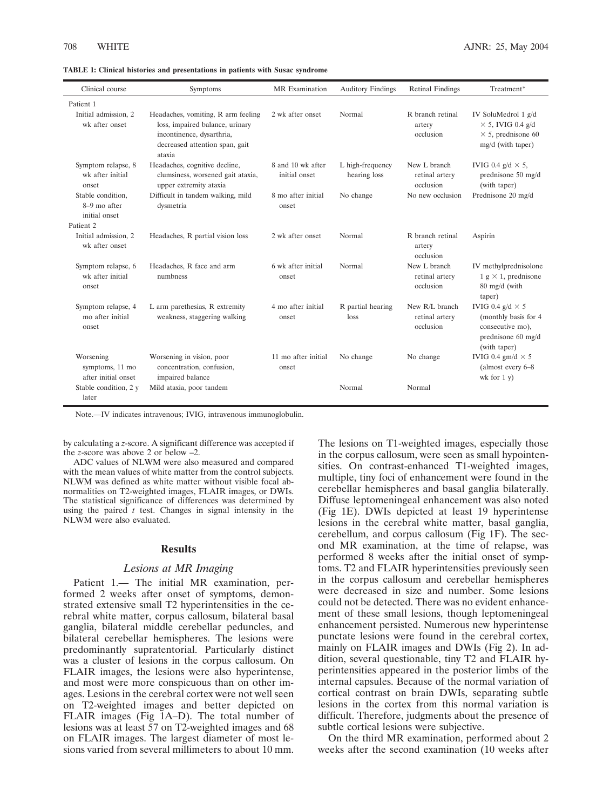| Clinical course                                     | Symptoms                                                                                                                                       | <b>MR</b> Examination              | <b>Auditory Findings</b>         | <b>Retinal Findings</b>                       | Treatment*                                                                                                 |
|-----------------------------------------------------|------------------------------------------------------------------------------------------------------------------------------------------------|------------------------------------|----------------------------------|-----------------------------------------------|------------------------------------------------------------------------------------------------------------|
| Patient 1                                           |                                                                                                                                                |                                    |                                  |                                               |                                                                                                            |
| Initial admission, 2<br>wk after onset              | Headaches, vomiting, R arm feeling<br>loss, impaired balance, urinary<br>incontinence, dysarthria,<br>decreased attention span, gait<br>ataxia | 2 wk after onset                   | Normal                           | R branch retinal<br>artery<br>occlusion       | IV SoluMedrol 1 g/d<br>$\times$ 5, IVIG 0.4 g/d<br>$\times$ 5, prednisone 60<br>mg/d (with taper)          |
| Symptom relapse, 8<br>wk after initial<br>onset     | Headaches, cognitive decline,<br>clumsiness, worsened gait ataxia,<br>upper extremity ataxia                                                   | 8 and 10 wk after<br>initial onset | L high-frequency<br>hearing loss | New L branch<br>retinal artery<br>occlusion   | IVIG 0.4 $g/d \times 5$ ,<br>prednisone 50 mg/d<br>(with taper)                                            |
| Stable condition,<br>8-9 mo after<br>initial onset  | Difficult in tandem walking, mild<br>dysmetria                                                                                                 | 8 mo after initial<br>onset        | No change                        | No new occlusion                              | Prednisone 20 mg/d                                                                                         |
| Patient <sub>2</sub>                                |                                                                                                                                                |                                    |                                  |                                               |                                                                                                            |
| Initial admission, 2<br>wk after onset              | Headaches, R partial vision loss                                                                                                               | 2 wk after onset                   | Normal                           | R branch retinal<br>artery<br>occlusion       | Aspirin                                                                                                    |
| Symptom relapse, 6<br>wk after initial<br>onset     | Headaches, R face and arm<br>numbness                                                                                                          | 6 wk after initial<br>onset        | Normal                           | New L branch<br>retinal artery<br>occlusion   | IV methylprednisolone<br>$1 \text{ g} \times 1$ , prednisone<br>80 mg/d (with<br>taper)                    |
| Symptom relapse, 4<br>mo after initial<br>onset     | L arm parethesias, R extremity<br>weakness, staggering walking                                                                                 | 4 mo after initial<br>onset        | R partial hearing<br>loss        | New R/L branch<br>retinal artery<br>occlusion | IVIG 0.4 $g/d \times 5$<br>(monthly basis for 4)<br>consecutive mo),<br>prednisone 60 mg/d<br>(with taper) |
| Worsening<br>symptoms, 11 mo<br>after initial onset | Worsening in vision, poor<br>concentration, confusion,<br>impaired balance                                                                     | 11 mo after initial<br>onset       | No change                        | No change                                     | IVIG 0.4 gm/d $\times$ 5<br>(almost every 6-8<br>wk for $1 y)$                                             |
| Stable condition, 2 y<br>later                      | Mild ataxia, poor tandem                                                                                                                       |                                    | Normal                           | Normal                                        |                                                                                                            |

**TABLE 1: Clinical histories and presentations in patients with Susac syndrome**

Note.—IV indicates intravenous; IVIG, intravenous immunoglobulin.

by calculating a *z*-score. A significant difference was accepted if the *z*-score was above 2 or below –2.

ADC values of NLWM were also measured and compared with the mean values of white matter from the control subjects. NLWM was defined as white matter without visible focal abnormalities on T2-weighted images, FLAIR images, or DWIs. The statistical significance of differences was determined by using the paired *t* test. Changes in signal intensity in the NLWM were also evaluated.

## **Results**

# *Lesions at MR Imaging*

Patient 1.— The initial MR examination, performed 2 weeks after onset of symptoms, demonstrated extensive small T2 hyperintensities in the cerebral white matter, corpus callosum, bilateral basal ganglia, bilateral middle cerebellar peduncles, and bilateral cerebellar hemispheres. The lesions were predominantly supratentorial. Particularly distinct was a cluster of lesions in the corpus callosum. On FLAIR images, the lesions were also hyperintense, and most were more conspicuous than on other images. Lesions in the cerebral cortex were not well seen on T2-weighted images and better depicted on FLAIR images (Fig 1A–D). The total number of lesions was at least 57 on T2-weighted images and 68 on FLAIR images. The largest diameter of most lesions varied from several millimeters to about 10 mm. The lesions on T1-weighted images, especially those in the corpus callosum, were seen as small hypointensities. On contrast-enhanced T1-weighted images, multiple, tiny foci of enhancement were found in the cerebellar hemispheres and basal ganglia bilaterally. Diffuse leptomeningeal enhancement was also noted (Fig 1E). DWIs depicted at least 19 hyperintense lesions in the cerebral white matter, basal ganglia, cerebellum, and corpus callosum (Fig 1F). The second MR examination, at the time of relapse, was performed 8 weeks after the initial onset of symptoms. T2 and FLAIR hyperintensities previously seen in the corpus callosum and cerebellar hemispheres were decreased in size and number. Some lesions could not be detected. There was no evident enhancement of these small lesions, though leptomeningeal enhancement persisted. Numerous new hyperintense punctate lesions were found in the cerebral cortex, mainly on FLAIR images and DWIs (Fig 2). In addition, several questionable, tiny T2 and FLAIR hyperintensities appeared in the posterior limbs of the internal capsules. Because of the normal variation of cortical contrast on brain DWIs, separating subtle lesions in the cortex from this normal variation is difficult. Therefore, judgments about the presence of subtle cortical lesions were subjective.

On the third MR examination, performed about 2 weeks after the second examination (10 weeks after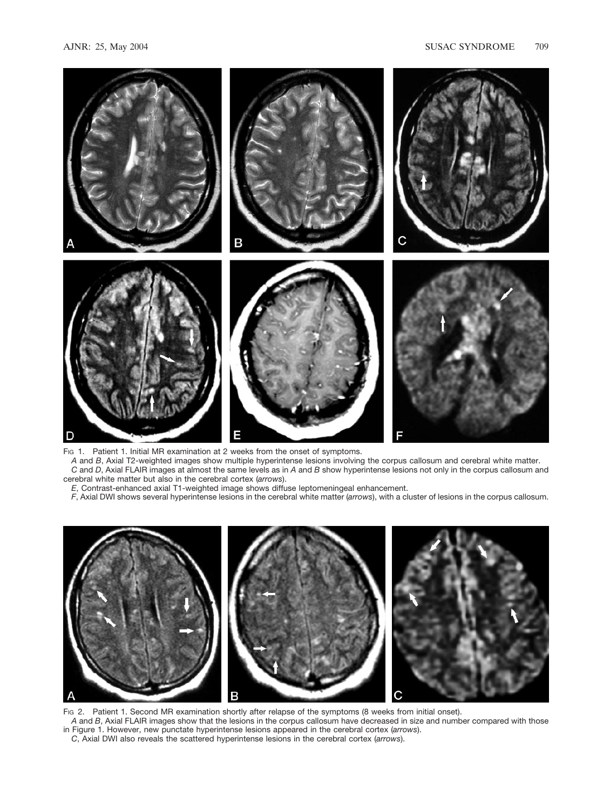

FIG 1. Patient 1. Initial MR examination at 2 weeks from the onset of symptoms.

*A* and *B*, Axial T2-weighted images show multiple hyperintense lesions involving the corpus callosum and cerebral white matter. *C* and *D*, Axial FLAIR images at almost the same levels as in *A* and *B* show hyperintense lesions not only in the corpus callosum and cerebral white matter but also in the cerebral cortex (*arrows*).

*E*, Contrast-enhanced axial T1-weighted image shows diffuse leptomeningeal enhancement.

*F*, Axial DWI shows several hyperintense lesions in the cerebral white matter (*arrows*), with a cluster of lesions in the corpus callosum.



Fig 2. Patient 1. Second MR examination shortly after relapse of the symptoms (8 weeks from initial onset).

*A* and *B*, Axial FLAIR images show that the lesions in the corpus callosum have decreased in size and number compared with those in Figure 1. However, new punctate hyperintense lesions appeared in the cerebral cortex (*arrows*).

*C*, Axial DWI also reveals the scattered hyperintense lesions in the cerebral cortex (*arrows*).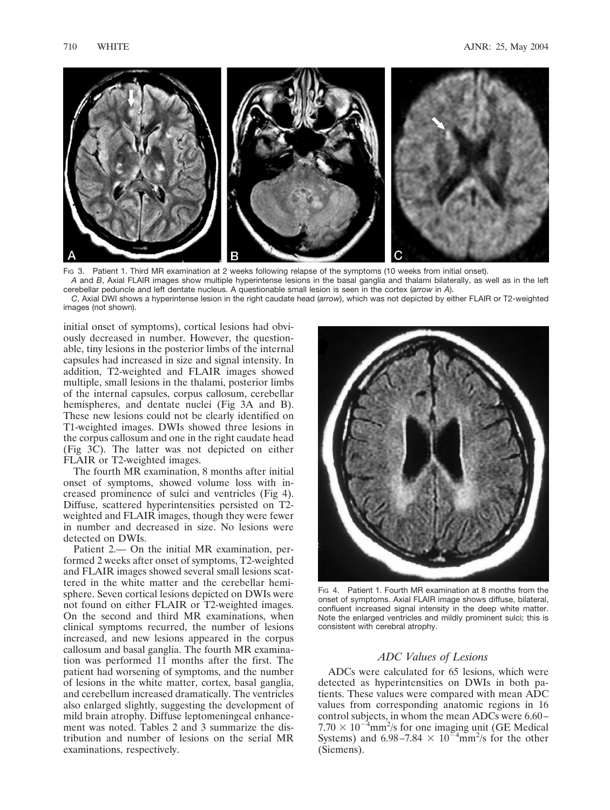

Fig 3. Patient 1. Third MR examination at 2 weeks following relapse of the symptoms (10 weeks from initial onset).

*A* and *B*, Axial FLAIR images show multiple hyperintense lesions in the basal ganglia and thalami bilaterally, as well as in the left cerebellar peduncle and left dentate nucleus. A questionable small lesion is seen in the cortex (*arrow* in *A*).

*C*, Axial DWI shows a hyperintense lesion in the right caudate head (*arrow*), which was not depicted by either FLAIR or T2-weighted images (not shown).

initial onset of symptoms), cortical lesions had obviously decreased in number. However, the questionable, tiny lesions in the posterior limbs of the internal capsules had increased in size and signal intensity. In addition, T2-weighted and FLAIR images showed multiple, small lesions in the thalami, posterior limbs of the internal capsules, corpus callosum, cerebellar hemispheres, and dentate nuclei (Fig 3A and B). These new lesions could not be clearly identified on T1-weighted images. DWIs showed three lesions in the corpus callosum and one in the right caudate head (Fig 3C). The latter was not depicted on either FLAIR or T2-weighted images.

The fourth MR examination, 8 months after initial onset of symptoms, showed volume loss with increased prominence of sulci and ventricles (Fig 4). Diffuse, scattered hyperintensities persisted on T2 weighted and FLAIR images, though they were fewer in number and decreased in size. No lesions were detected on DWIs.

Patient 2.— On the initial MR examination, performed 2 weeks after onset of symptoms, T2-weighted and FLAIR images showed several small lesions scattered in the white matter and the cerebellar hemisphere. Seven cortical lesions depicted on DWIs were not found on either FLAIR or T2-weighted images. On the second and third MR examinations, when clinical symptoms recurred, the number of lesions increased, and new lesions appeared in the corpus callosum and basal ganglia. The fourth MR examination was performed 11 months after the first. The patient had worsening of symptoms, and the number of lesions in the white matter, cortex, basal ganglia, and cerebellum increased dramatically. The ventricles also enlarged slightly, suggesting the development of mild brain atrophy. Diffuse leptomeningeal enhancement was noted. Tables 2 and 3 summarize the distribution and number of lesions on the serial MR examinations, respectively.



FIG 4. Patient 1. Fourth MR examination at 8 months from the onset of symptoms. Axial FLAIR image shows diffuse, bilateral, confluent increased signal intensity in the deep white matter. Note the enlarged ventricles and mildly prominent sulci; this is consistent with cerebral atrophy.

# *ADC Values of Lesions*

ADCs were calculated for 65 lesions, which were detected as hyperintensities on DWIs in both patients. These values were compared with mean ADC values from corresponding anatomic regions in 16 control subjects, in whom the mean ADCs were 6.60–  $7.70 \times 10^{-4}$ mm<sup>2</sup>/s for one imaging unit (GE Medical Systems) and 6.98–7.84  $\times$  10<sup>-4</sup>mm<sup>2</sup>/s for the other (Siemens).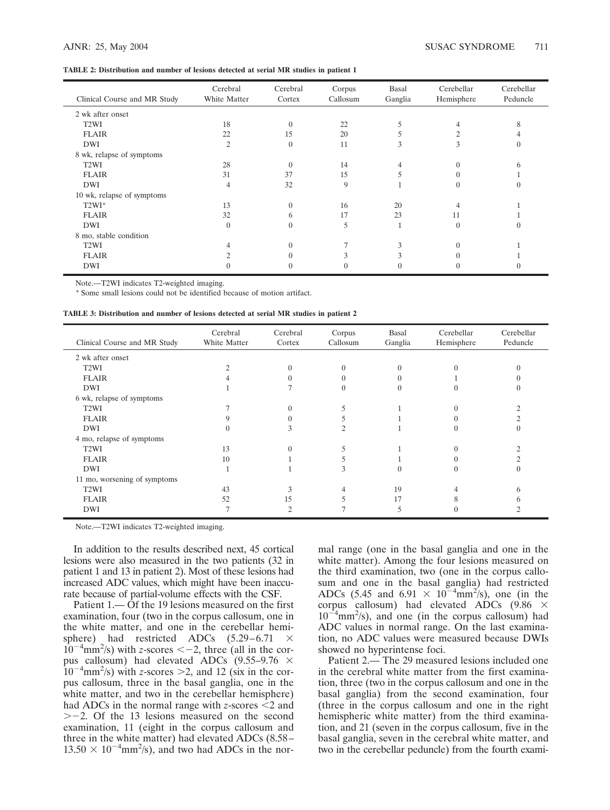## **TABLE 2: Distribution and number of lesions detected at serial MR studies in patient 1**

| Clinical Course and MR Study | Cerebral<br>White Matter | Cerebral<br>Cortex | Corpus<br>Callosum | Basal<br>Ganglia | Cerebellar<br>Hemisphere | Cerebellar<br>Peduncle |
|------------------------------|--------------------------|--------------------|--------------------|------------------|--------------------------|------------------------|
| 2 wk after onset             |                          |                    |                    |                  |                          |                        |
| T <sub>2</sub> WI            | 18                       | $\Omega$           | 22                 |                  |                          |                        |
| <b>FLAIR</b>                 | 22                       | 15                 | 20                 |                  |                          |                        |
| DWI                          | $\overline{2}$           | $\Omega$           | 11                 | 3                | 3                        | $\theta$               |
| 8 wk, relapse of symptoms    |                          |                    |                    |                  |                          |                        |
| T <sub>2</sub> WI            | 28                       | $\Omega$           | 14                 |                  |                          |                        |
| <b>FLAIR</b>                 | 31                       | 37                 | 15                 |                  |                          |                        |
| DWI                          | 4                        | 32                 | 9                  |                  |                          |                        |
| 10 wk, relapse of symptoms   |                          |                    |                    |                  |                          |                        |
| $T2WI*$                      | 13                       | $\Omega$           | 16                 | 20               | 4                        |                        |
| <b>FLAIR</b>                 | 32                       | 6                  | 17                 | 23               | 11                       |                        |
| <b>DWI</b>                   | $\Omega$                 | $\Omega$           | 5                  | $\mathbf{1}$     | $\Omega$                 |                        |
| 8 mo, stable condition       |                          |                    |                    |                  |                          |                        |
| T <sub>2</sub> WI            |                          |                    |                    |                  |                          |                        |
| <b>FLAIR</b>                 |                          |                    |                    |                  |                          |                        |
| DWI                          |                          | 0                  |                    | $\theta$         |                          | $\theta$               |

Note.—T2WI indicates T2-weighted imaging.

\* Some small lesions could not be identified because of motion artifact.

| TABLE 3: Distribution and number of lesions detected at serial MR studies in patient 2 |  |  |  |
|----------------------------------------------------------------------------------------|--|--|--|
|----------------------------------------------------------------------------------------|--|--|--|

| Clinical Course and MR Study | Cerebral<br>White Matter | Cerebral<br>Cortex | Corpus<br>Callosum | Basal<br>Ganglia | Cerebellar<br>Hemisphere | Cerebellar<br>Peduncle |
|------------------------------|--------------------------|--------------------|--------------------|------------------|--------------------------|------------------------|
| 2 wk after onset             |                          |                    |                    |                  |                          |                        |
| T <sub>2</sub> WI            |                          |                    | 0                  | $\Omega$         |                          | 0                      |
| <b>FLAIR</b>                 |                          |                    |                    |                  |                          |                        |
| <b>DWI</b>                   |                          |                    |                    | $\theta$         |                          | 0                      |
| 6 wk, relapse of symptoms    |                          |                    |                    |                  |                          |                        |
| T <sub>2</sub> WI            |                          |                    |                    |                  |                          |                        |
| <b>FLAIR</b>                 |                          |                    |                    |                  |                          |                        |
| DWI                          |                          |                    |                    |                  |                          | 0                      |
| 4 mo, relapse of symptoms    |                          |                    |                    |                  |                          |                        |
| T <sub>2</sub> WI            | 13                       |                    |                    |                  |                          |                        |
| <b>FLAIR</b>                 | 10                       |                    |                    |                  |                          |                        |
| DWI                          |                          |                    | f.                 | 0                |                          | $\mathcal{O}$          |
| 11 mo, worsening of symptoms |                          |                    |                    |                  |                          |                        |
| T <sub>2</sub> WI            | 43                       |                    |                    | 19               |                          | <sub>(</sub>           |
| <b>FLAIR</b>                 | 52                       | 15                 |                    | 17               |                          | <sub>(</sub>           |
| DWI                          |                          |                    |                    | 5                |                          |                        |

Note.—T2WI indicates T2-weighted imaging.

In addition to the results described next, 45 cortical lesions were also measured in the two patients (32 in patient 1 and 13 in patient 2). Most of these lesions had increased ADC values, which might have been inaccurate because of partial-volume effects with the CSF.

Patient 1.— Of the 19 lesions measured on the first examination, four (two in the corpus callosum, one in the white matter, and one in the cerebellar hemisphere) had restricted ADCs  $(5.29-6.71 \times$  $10^{-4}$ mm<sup>2</sup>/s) with *z*-scores < -2, three (all in the corpus callosum) had elevated ADCs  $(9.55-9.76 \times$  $10^{-4}$ mm<sup>2</sup>/s) with *z*-scores >2, and 12 (six in the corpus callosum, three in the basal ganglia, one in the white matter, and two in the cerebellar hemisphere) had ADCs in the normal range with *z*-scores  $\leq$  2 and  $\ge$  -2. Of the 13 lesions measured on the second examination, 11 (eight in the corpus callosum and three in the white matter) had elevated ADCs (8.58–  $13.50 \times 10^{-4}$ mm<sup>2</sup>/s), and two had ADCs in the nor-

mal range (one in the basal ganglia and one in the white matter). Among the four lesions measured on the third examination, two (one in the corpus callosum and one in the basal ganglia) had restricted ADCs (5.45 and 6.91  $\times$  10<sup>-4</sup>mm<sup>2</sup>/s), one (in the corpus callosum) had elevated ADCs  $(9.86 \times$  $10^{-4}$ mm<sup>2</sup>/s), and one (in the corpus callosum) had ADC values in normal range. On the last examination, no ADC values were measured because DWIs showed no hyperintense foci.

Patient 2.— The 29 measured lesions included one in the cerebral white matter from the first examination, three (two in the corpus callosum and one in the basal ganglia) from the second examination, four (three in the corpus callosum and one in the right hemispheric white matter) from the third examination, and 21 (seven in the corpus callosum, five in the basal ganglia, seven in the cerebral white matter, and two in the cerebellar peduncle) from the fourth exami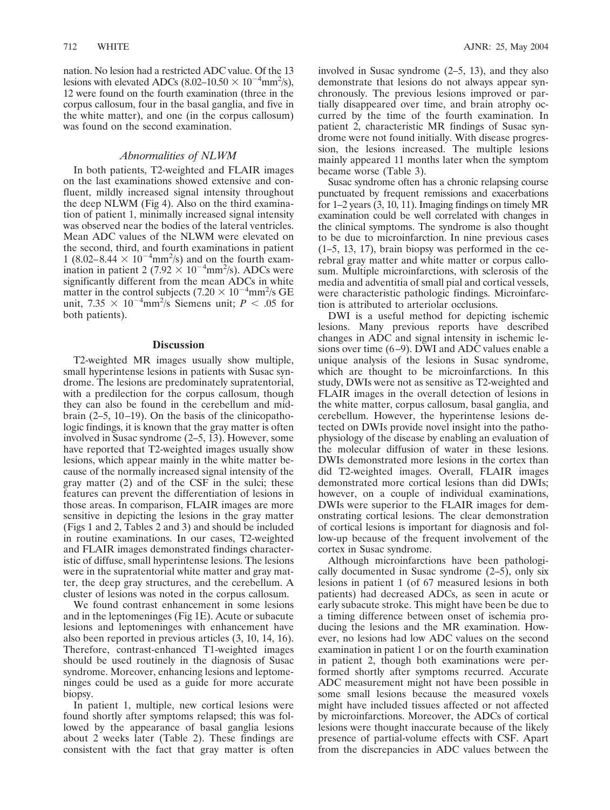nation. No lesion had a restricted ADC value. Of the 13 lesions with elevated ADCs  $(8.02-10.50 \times 10^{-4} \text{mm}^2/\text{s})$ , 12 were found on the fourth examination (three in the corpus callosum, four in the basal ganglia, and five in the white matter), and one (in the corpus callosum) was found on the second examination.

# *Abnormalities of NLWM*

In both patients, T2-weighted and FLAIR images on the last examinations showed extensive and confluent, mildly increased signal intensity throughout the deep NLWM (Fig 4). Also on the third examination of patient 1, minimally increased signal intensity was observed near the bodies of the lateral ventricles. Mean ADC values of the NLWM were elevated on the second, third, and fourth examinations in patient 1 (8.02–8.44  $\times$  10<sup>-4</sup>mm<sup>2</sup>/s) and on the fourth examination in patient 2 (7.92  $\times$  10<sup>-4</sup>mm<sup>2</sup>/s). ADCs were significantly different from the mean ADCs in white matter in the control subjects (7.20  $\times$  10<sup>-4</sup>mm<sup>2</sup>/s GE unit,  $7.35 \times 10^{-4}$ mm<sup>2</sup>/s Siemens unit; *P < .*05 for both patients).

# **Discussion**

T2-weighted MR images usually show multiple, small hyperintense lesions in patients with Susac syndrome. The lesions are predominately supratentorial, with a predilection for the corpus callosum, though they can also be found in the cerebellum and midbrain (2–5, 10–19). On the basis of the clinicopathologic findings, it is known that the gray matter is often involved in Susac syndrome (2–5, 13). However, some have reported that T2-weighted images usually show lesions, which appear mainly in the white matter because of the normally increased signal intensity of the gray matter (2) and of the CSF in the sulci; these features can prevent the differentiation of lesions in those areas. In comparison, FLAIR images are more sensitive in depicting the lesions in the gray matter (Figs 1 and 2, Tables 2 and 3) and should be included in routine examinations. In our cases, T2-weighted and FLAIR images demonstrated findings characteristic of diffuse, small hyperintense lesions. The lesions were in the supratentorial white matter and gray matter, the deep gray structures, and the cerebellum. A cluster of lesions was noted in the corpus callosum.

We found contrast enhancement in some lesions and in the leptomeninges (Fig 1E). Acute or subacute lesions and leptomeninges with enhancement have also been reported in previous articles (3, 10, 14, 16). Therefore, contrast-enhanced T1-weighted images should be used routinely in the diagnosis of Susac syndrome. Moreover, enhancing lesions and leptomeninges could be used as a guide for more accurate biopsy.

In patient 1, multiple, new cortical lesions were found shortly after symptoms relapsed; this was followed by the appearance of basal ganglia lesions about 2 weeks later (Table 2). These findings are consistent with the fact that gray matter is often

involved in Susac syndrome (2–5, 13), and they also demonstrate that lesions do not always appear synchronously. The previous lesions improved or partially disappeared over time, and brain atrophy occurred by the time of the fourth examination. In patient 2, characteristic MR findings of Susac syndrome were not found initially. With disease progression, the lesions increased. The multiple lesions mainly appeared 11 months later when the symptom became worse (Table 3).

Susac syndrome often has a chronic relapsing course punctuated by frequent remissions and exacerbations for 1–2 years (3, 10, 11). Imaging findings on timely MR examination could be well correlated with changes in the clinical symptoms. The syndrome is also thought to be due to microinfarction. In nine previous cases (1–5, 13, 17), brain biopsy was performed in the cerebral gray matter and white matter or corpus callosum. Multiple microinfarctions, with sclerosis of the media and adventitia of small pial and cortical vessels, were characteristic pathologic findings. Microinfarction is attributed to arteriolar occlusions.

DWI is a useful method for depicting ischemic lesions. Many previous reports have described changes in ADC and signal intensity in ischemic lesions over time (6–9). DWI and ADC values enable a unique analysis of the lesions in Susac syndrome, which are thought to be microinfarctions. In this study, DWIs were not as sensitive as T2-weighted and FLAIR images in the overall detection of lesions in the white matter, corpus callosum, basal ganglia, and cerebellum. However, the hyperintense lesions detected on DWIs provide novel insight into the pathophysiology of the disease by enabling an evaluation of the molecular diffusion of water in these lesions. DWIs demonstrated more lesions in the cortex than did T2-weighted images. Overall, FLAIR images demonstrated more cortical lesions than did DWIs; however, on a couple of individual examinations, DWIs were superior to the FLAIR images for demonstrating cortical lesions. The clear demonstration of cortical lesions is important for diagnosis and follow-up because of the frequent involvement of the cortex in Susac syndrome.

Although microinfarctions have been pathologically documented in Susac syndrome  $(2-5)$ , only six lesions in patient 1 (of 67 measured lesions in both patients) had decreased ADCs, as seen in acute or early subacute stroke. This might have been be due to a timing difference between onset of ischemia producing the lesions and the MR examination. However, no lesions had low ADC values on the second examination in patient 1 or on the fourth examination in patient 2, though both examinations were performed shortly after symptoms recurred. Accurate ADC measurement might not have been possible in some small lesions because the measured voxels might have included tissues affected or not affected by microinfarctions. Moreover, the ADCs of cortical lesions were thought inaccurate because of the likely presence of partial-volume effects with CSF. Apart from the discrepancies in ADC values between the